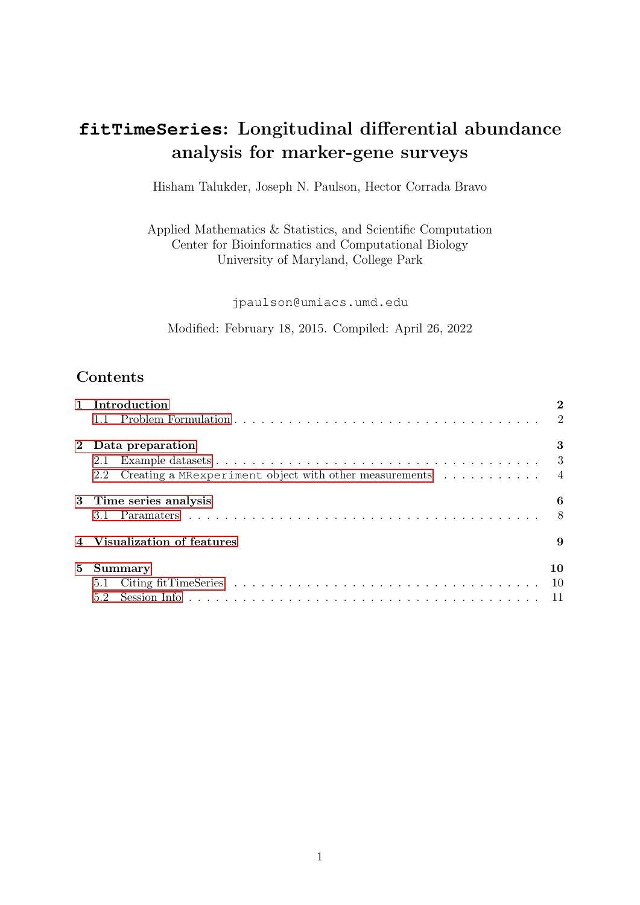# **fitTimeSeries**: Longitudinal differential abundance analysis for marker-gene surveys

Hisham Talukder, Joseph N. Paulson, Hector Corrada Bravo

Applied Mathematics & Statistics, and Scientific Computation Center for Bioinformatics and Computational Biology University of Maryland, College Park

jpaulson@umiacs.umd.edu

Modified: February 18, 2015. Compiled: April 26, 2022

## **Contents**

|             | 1 Introduction                                                  |       |  |  |  |  |
|-------------|-----------------------------------------------------------------|-------|--|--|--|--|
|             |                                                                 |       |  |  |  |  |
|             | 2 Data preparation                                              | 3     |  |  |  |  |
|             |                                                                 |       |  |  |  |  |
|             | Creating a MRexperiment object with other measurements 4<br>2.2 |       |  |  |  |  |
|             | 3 Time series analysis                                          | 6     |  |  |  |  |
|             |                                                                 |       |  |  |  |  |
|             | 4 Visualization of features                                     |       |  |  |  |  |
| $5^{\circ}$ | Summary                                                         | 10    |  |  |  |  |
|             |                                                                 | -10   |  |  |  |  |
|             | $5.2^{\circ}$                                                   | $-11$ |  |  |  |  |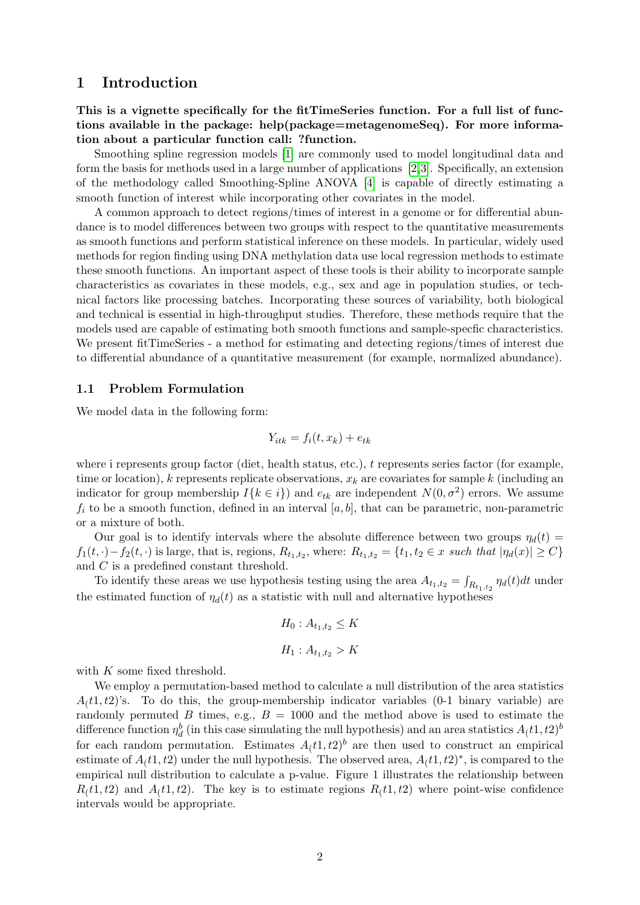## <span id="page-1-0"></span>1 Introduction

This is a vignette specifically for the fitTimeSeries function. For a full list of functions available in the package: help(package=metagenomeSeq). For more information about a particular function call: ?function.

Smoothing spline regression models [\[1\]](#page-11-0) are commonly used to model longitudinal data and form the basis for methods used in a large number of applications [\[2,](#page-11-1)[3\]](#page-11-2). Specifically, an extension of the methodology called Smoothing-Spline ANOVA [\[4\]](#page-11-3) is capable of directly estimating a smooth function of interest while incorporating other covariates in the model.

A common approach to detect regions/times of interest in a genome or for differential abundance is to model differences between two groups with respect to the quantitative measurements as smooth functions and perform statistical inference on these models. In particular, widely used methods for region finding using DNA methylation data use local regression methods to estimate these smooth functions. An important aspect of these tools is their ability to incorporate sample characteristics as covariates in these models, e.g., sex and age in population studies, or technical factors like processing batches. Incorporating these sources of variability, both biological and technical is essential in high-throughput studies. Therefore, these methods require that the models used are capable of estimating both smooth functions and sample-specfic characteristics. We present fitTimeSeries - a method for estimating and detecting regions/times of interest due to differential abundance of a quantitative measurement (for example, normalized abundance).

#### <span id="page-1-1"></span>1.1 Problem Formulation

We model data in the following form:

$$
Y_{itk} = f_i(t, x_k) + e_{tk}
$$

where i represents group factor (diet, health status, etc.), t represents series factor (for example, time or location), k represents replicate observations,  $x_k$  are covariates for sample k (including an indicator for group membership  $I\{k \in i\}$  and  $e_{tk}$  are independent  $N(0, \sigma^2)$  errors. We assume  $f_i$  to be a smooth function, defined in an interval [a, b], that can be parametric, non-parametric or a mixture of both.

Our goal is to identify intervals where the absolute difference between two groups  $\eta_d(t)$  $f_1(t, \cdot) - f_2(t, \cdot)$  is large, that is, regions,  $R_{t_1,t_2}$ , where:  $R_{t_1,t_2} = \{t_1, t_2 \in x \text{ such that } |\eta_d(x)| \ge C\}$ and C is a predefined constant threshold.

To identify these areas we use hypothesis testing using the area  $A_{t_1,t_2} = \int_{R_{t_1,t_2}} \eta_d(t)dt$  under the estimated function of  $\eta_d(t)$  as a statistic with null and alternative hypotheses

$$
H_0: A_{t_1, t_2} \le K
$$
  

$$
H_1: A_{t_1, t_2} > K
$$

with  $K$  some fixed threshold.

We employ a permutation-based method to calculate a null distribution of the area statistics  $A(t,1, t, 2)$ 's. To do this, the group-membership indicator variables (0-1 binary variable) are randomly permuted B times, e.g.,  $B = 1000$  and the method above is used to estimate the difference function  $\eta_d^b$  (in this case simulating the null hypothesis) and an area statistics  $A_(t1,t2)^b$ for each random permutation. Estimates  $A<sub>(t1, t2)<sup>b</sup></sub>$  are then used to construct an empirical estimate of  $A(t, t^2)$  under the null hypothesis. The observed area,  $A(t, t^2)$ <sup>\*</sup>, is compared to the empirical null distribution to calculate a p-value. Figure 1 illustrates the relationship between  $R(t, t, t)$  and  $A(t, t, t)$ . The key is to estimate regions  $R(t, t, t)$  where point-wise confidence intervals would be appropriate.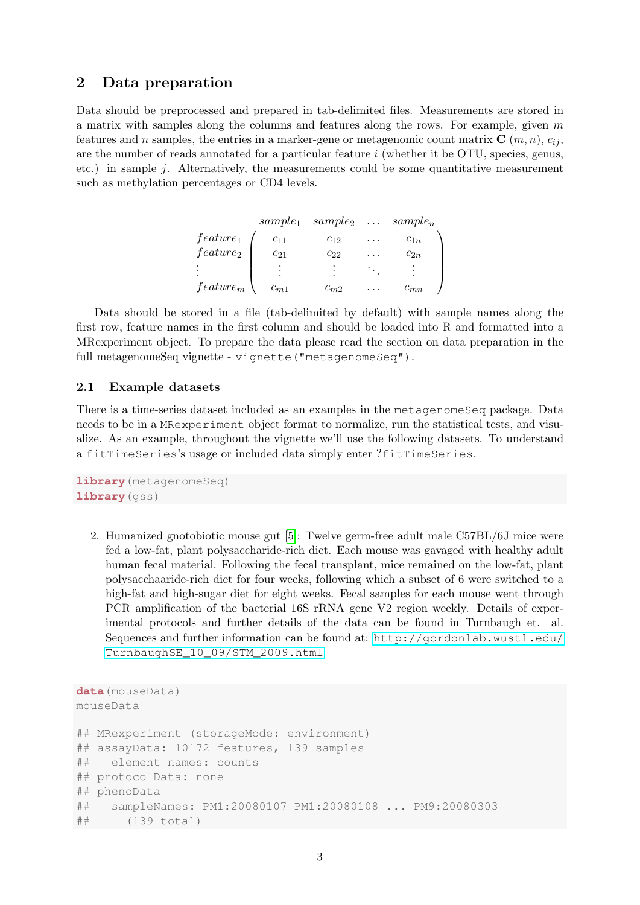## <span id="page-2-0"></span>2 Data preparation

Data should be preprocessed and prepared in tab-delimited files. Measurements are stored in a matrix with samples along the columns and features along the rows. For example, given  $m$ features and n samples, the entries in a marker-gene or metagenomic count matrix  $C(m, n), c_{ii}$ , are the number of reads annotated for a particular feature  $i$  (whether it be OTU, species, genus, etc.) in sample  $j$ . Alternatively, the measurements could be some quantitative measurement such as methylation percentages or CD4 levels.

|             | $sample_1$ | $sample_2 \ldots sample_n$ |                         |          |
|-------------|------------|----------------------------|-------------------------|----------|
| $feature_1$ | $c_{11}$   | $C_{12}$                   | $\cdots$                | $c_{1n}$ |
| $feature_2$ | $c_{21}$   | $c_{22}$                   | $\cdot$ $\cdot$ $\cdot$ | $c_{2n}$ |
|             |            |                            |                         |          |
| $feature_m$ | $c_{m1}$   | $c_{m2}$                   |                         | $-mn$    |

Data should be stored in a file (tab-delimited by default) with sample names along the first row, feature names in the first column and should be loaded into R and formatted into a MRexperiment object. To prepare the data please read the section on data preparation in the full metagenomeSeq vignette - vignette("metagenomeSeq").

#### <span id="page-2-1"></span>2.1 Example datasets

There is a time-series dataset included as an examples in the metagenomeSeq package. Data needs to be in a MRexperiment object format to normalize, run the statistical tests, and visualize. As an example, throughout the vignette we'll use the following datasets. To understand a fitTimeSeries's usage or included data simply enter ?fitTimeSeries.

```
library(metagenomeSeq)
library(gss)
```
2. Humanized gnotobiotic mouse gut [\[5\]](#page-11-4): Twelve germ-free adult male C57BL/6J mice were fed a low-fat, plant polysaccharide-rich diet. Each mouse was gavaged with healthy adult human fecal material. Following the fecal transplant, mice remained on the low-fat, plant polysacchaaride-rich diet for four weeks, following which a subset of 6 were switched to a high-fat and high-sugar diet for eight weeks. Fecal samples for each mouse went through PCR amplification of the bacterial 16S rRNA gene V2 region weekly. Details of experimental protocols and further details of the data can be found in Turnbaugh et. al. Sequences and further information can be found at: [http://gordonlab.wustl.edu/](http://gordonlab.wustl.edu/TurnbaughSE_10_09/STM_2009.html) [TurnbaughSE\\_10\\_09/STM\\_2009.html](http://gordonlab.wustl.edu/TurnbaughSE_10_09/STM_2009.html)

```
data(mouseData)
mouseData
## MRexperiment (storageMode: environment)
## assayData: 10172 features, 139 samples
## element names: counts
## protocolData: none
## phenoData
## sampleNames: PM1:20080107 PM1:20080108 ... PM9:20080303
## (139 total)
```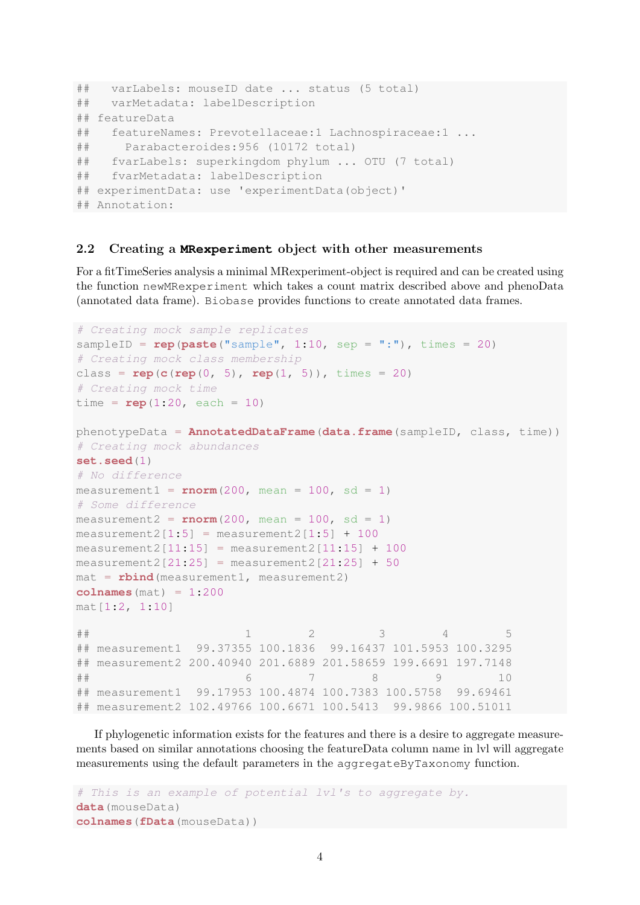```
## varLabels: mouseID date ... status (5 total)
## varMetadata: labelDescription
## featureData
## featureNames: Prevotellaceae:1 Lachnospiraceae:1 ...
## Parabacteroides:956 (10172 total)
## fvarLabels: superkingdom phylum ... OTU (7 total)
## fvarMetadata: labelDescription
## experimentData: use 'experimentData(object)'
## Annotation:
```
#### <span id="page-3-0"></span>2.2 Creating a **MRexperiment** object with other measurements

For a fitTimeSeries analysis a minimal MRexperiment-object is required and can be created using the function newMRexperiment which takes a count matrix described above and phenoData (annotated data frame). Biobase provides functions to create annotated data frames.

```
# Creating mock sample replicates
sampleID = rep(paste("sample", 1:10, sep = ":"), times = 20)
# Creating mock class membership
class = \text{rep}(c(\text{rep}(0, 5), \text{rep}(1, 5)), \text{times} = 20)# Creating mock time
time = rep(1:20, each = 10)phenotypeData = AnnotatedDataFrame(data.frame(sampleID, class, time))
# Creating mock abundances
set.seed(1)
# No difference
mean1 = rnorm(200, mean = 100, sd = 1)# Some difference
measured = rnorm(200, mean = 100, sd = 1)measured[1:5] = measurement2[1:5] + 100
measurable[11:15] = measurement2[11:15] + 100measured1:25] = measurement2[21:25] = measurement2[21:25] + 50
\text{mat} = \text{rbind}(\text{measurement1}, \text{measurement2})colnames(mat) = 1:200
mat[1:2, 1:10]
## 1 2 3 4 5
## measurement1 99.37355 100.1836 99.16437 101.5953 100.3295
## measurement2 200.40940 201.6889 201.58659 199.6691 197.7148
## 6 7 8 9 10
## measurement1 99.17953 100.4874 100.7383 100.5758 99.69461
## measurement2 102.49766 100.6671 100.5413 99.9866 100.51011
```
If phylogenetic information exists for the features and there is a desire to aggregate measurements based on similar annotations choosing the featureData column name in lvl will aggregate measurements using the default parameters in the aggregateByTaxonomy function.

```
# This is an example of potential lvl's to aggregate by.
data(mouseData)
colnames(fData(mouseData))
```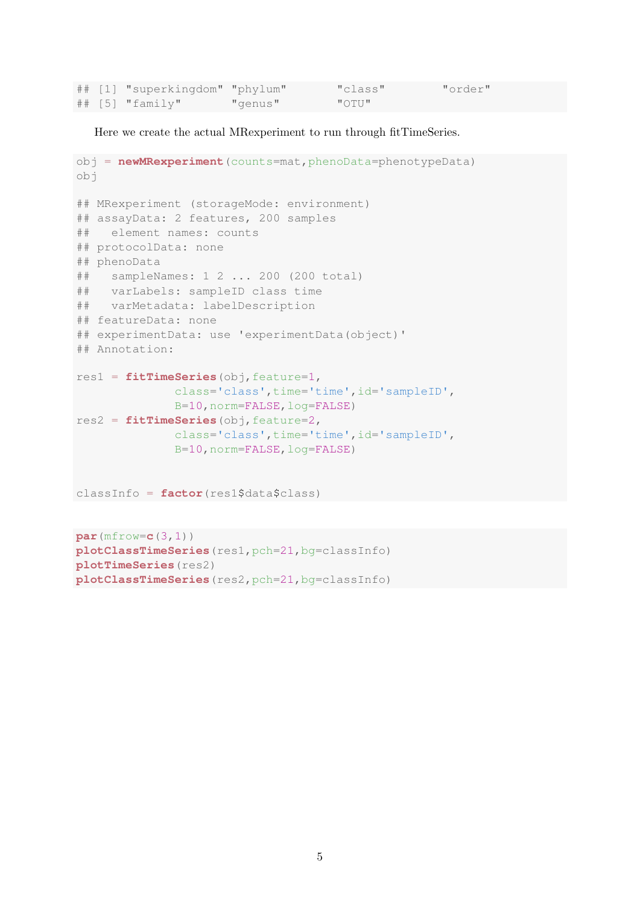|  | ## [1] "superkingdom" "phylum" |         | "class"        | "order" |
|--|--------------------------------|---------|----------------|---------|
|  | $\#$ # [5] "family"            | "genus" | $\blacksquare$ |         |

Here we create the actual MRexperiment to run through fitTimeSeries.

```
obj = newMRexperiment(counts=mat,phenoData=phenotypeData)
obj
## MRexperiment (storageMode: environment)
## assayData: 2 features, 200 samples
## element names: counts
## protocolData: none
## phenoData
## sampleNames: 1 2 ... 200 (200 total)
## varLabels: sampleID class time
## varMetadata: labelDescription
## featureData: none
## experimentData: use 'experimentData(object)'
## Annotation:
res1 = fitTimeSeries(obj,feature=1,
              class='class',time='time',id='sampleID',
              B=10,norm=FALSE,log=FALSE)
res2 = fitTimeSeries(obj,feature=2,
              class='class',time='time',id='sampleID',
              B=10,norm=FALSE,log=FALSE)
classInfo = factor(res1$data$class)
```

```
par(mfrow=c(3,1))
plotClassTimeSeries(res1,pch=21,bg=classInfo)
plotTimeSeries(res2)
plotClassTimeSeries(res2,pch=21,bg=classInfo)
```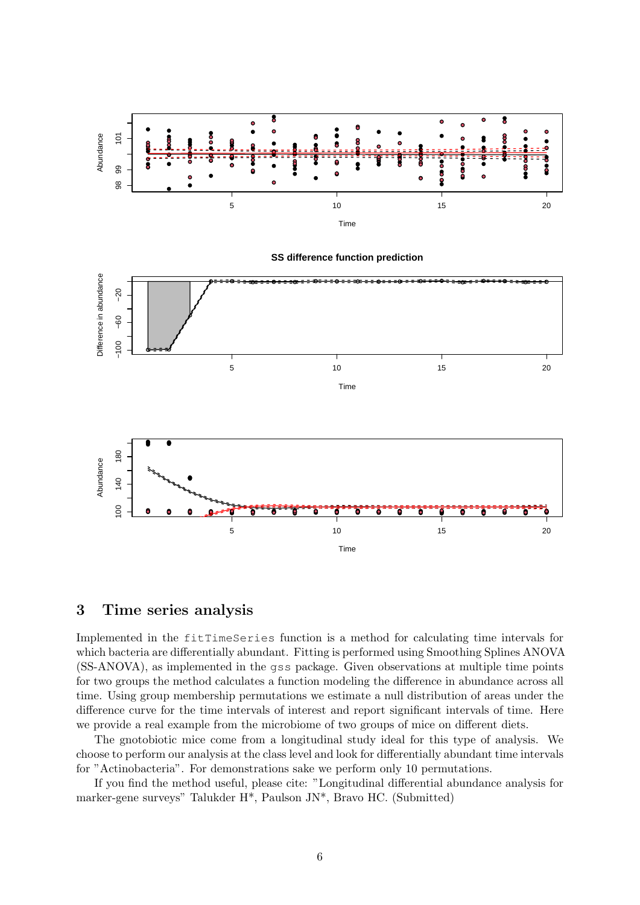

**SS difference function prediction** Oifference in abundance Difference in abundance  $-20$ −100 −60 −20  $-60$  $-100$ 5 10 10 15 20 Time



## <span id="page-5-0"></span>3 Time series analysis

Implemented in the fitTimeSeries function is a method for calculating time intervals for which bacteria are differentially abundant. Fitting is performed using Smoothing Splines ANOVA (SS-ANOVA), as implemented in the gss package. Given observations at multiple time points for two groups the method calculates a function modeling the difference in abundance across all time. Using group membership permutations we estimate a null distribution of areas under the difference curve for the time intervals of interest and report significant intervals of time. Here we provide a real example from the microbiome of two groups of mice on different diets.

The gnotobiotic mice come from a longitudinal study ideal for this type of analysis. We choose to perform our analysis at the class level and look for differentially abundant time intervals for "Actinobacteria". For demonstrations sake we perform only 10 permutations.

If you find the method useful, please cite: "Longitudinal differential abundance analysis for marker-gene surveys" Talukder H\*, Paulson JN\*, Bravo HC. (Submitted)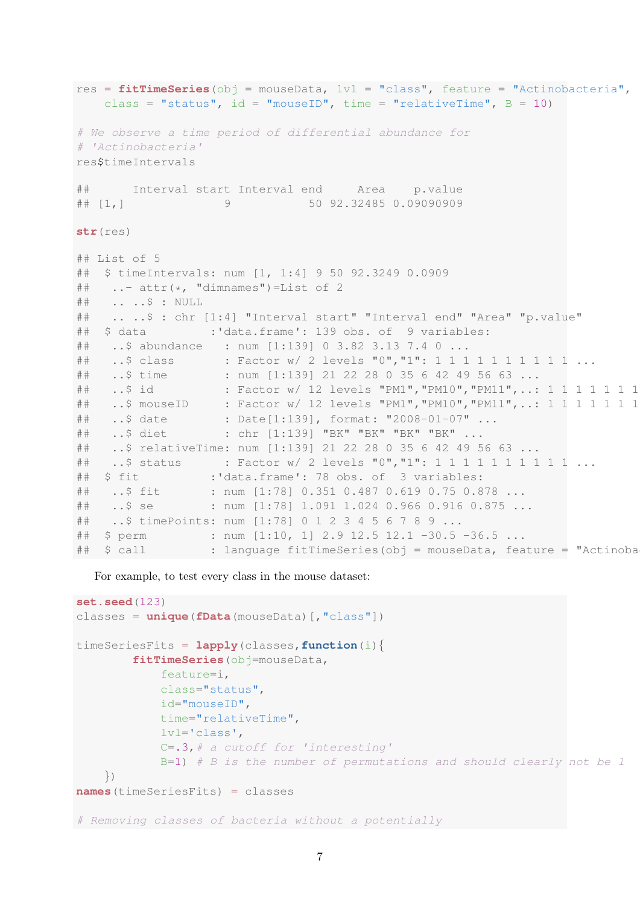```
res = fitTimeSeries(obj = mouseData, lvl = "class", feature = "Actinobacteria",
   class = "status", id = "mouseID", time = "relativeTime", B = 10)
# We observe a time period of differential abundance for
# 'Actinobacteria'
res$timeIntervals
## Interval start Interval end Area p.value
## [1,] 9 50 92.32485 0.09090909
str(res)
## List of 5
## $ timeIntervals: num [1, 1:4] 9 50 92.3249 0.0909
\#\ ..- attr(\star, "dimnames")=List of 2
## .. ..$ : NULL
## .. ..$ : chr [1:4] "Interval start" "Interval end" "Area" "p.value"
## $ data :'data.frame': 139 obs. of 9 variables:
## ..$ abundance : num [1:139] 0 3.82 3.13 7.4 0 ...
## ..$ class : Factor w/ 2 levels "0", "1": 1 1 1 1 1 1 1 1 1 1 ...
## ..$ time : num [1:139] 21 22 28 0 35 6 42 49 56 63 ...
## ..$ id : Factor w/ 12 levels "PM1", "PM10", "PM11", ..: 1 1 1 1 1 1 1
## ..$ mouseID : Factor w/ 12 levels "PM1", "PM10", "PM11", ..: 1 1 1 1 1 1 1
## ..$ date : Date[1:139], format: "2008-01-07" ...
## ..$ diet : chr [1:139] "BK" "BK" "BK" "BK" ...
## ..$ relativeTime: num [1:139] 21 22 28 0 35 6 42 49 56 63 ...
## ..$ status : Factor w/ 2 levels "0","1": 1 1 1 1 1 1 1 1 1 1 ...
## $ fit :'data.frame': 78 obs. of 3 variables:
## ..$ fit : num [1:78] 0.351 0.487 0.619 0.75 0.878 ...
## ..$ se : num [1:78] 1.091 1.024 0.966 0.916 0.875 ...
## ..$ timePoints: num [1:78] 0 1 2 3 4 5 6 7 8 9 ...
## $ perm : num [1:10, 1] 2.9 12.5 12.1 -30.5 -36.5 ...
## $ call : language fitTimeSeries(obj = mouseData, feature = "Actinoba
```
For example, to test every class in the mouse dataset:

```
set.seed(123)
classes = unique(fData(mouseData)[,"class"])
timeSeriesFits = lapply(classes,function(i){
        fitTimeSeries(obj=mouseData,
            feature=i,
            class="status",
            id="mouseID",
            time="relativeTime",
            lvl='class',
            C = .3, # a cutoff for 'interesting'B=1) # B is the number of permutations and should clearly not be 1
    })
names(timeSeriesFits) = classes
# Removing classes of bacteria without a potentially
```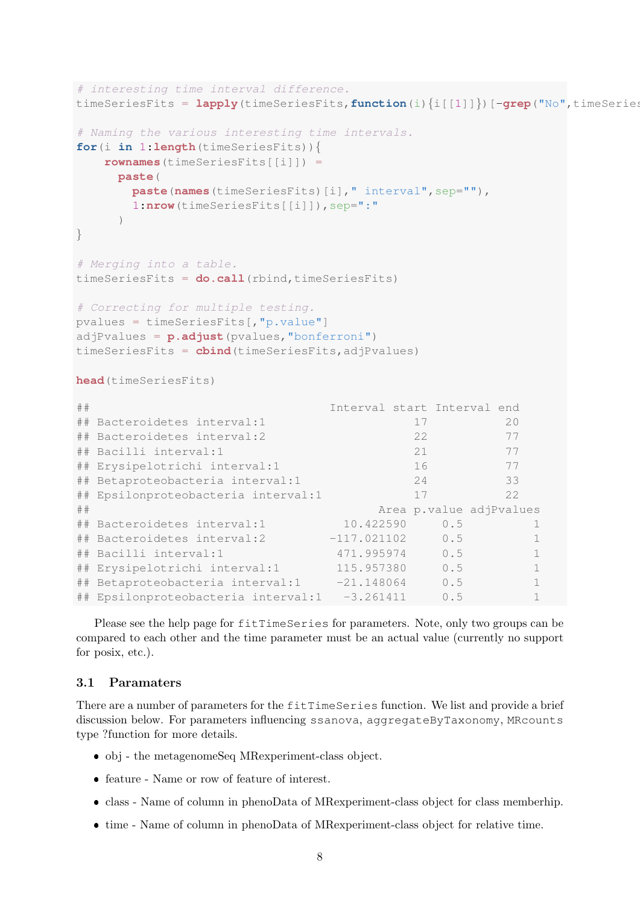```
# interesting time interval difference.
timeSeriesFits = \text{lapply}(timeSeriesFits, function(i){i[[1]]})[-grep("No", timeSeries
# Naming the various interesting time intervals.
for(i in 1:length(timeSeriesFits)){
   rownames(timeSeriesFits[[i]]) =
    paste(
      paste(names(timeSeriesFits)[i]," interval", sep=""),
      1:\texttt{nrow}(\texttt{timeSeries}[\texttt{[i]}]), \texttt{sep} = " \cdot \texttt{""})
}
# Merging into a table.
timeSeriesFits = do.call(rbind,timeSeriesFits)
# Correcting for multiple testing.
pvalues = timeSeriesFits[,"p.value"]
adjPvalues = p.adjust(pvalues,"bonferroni")
timeSeriesFits = cbind(timeSeriesFits,adjPvalues)
head(timeSeriesFits)
## Interval start Interval end
## Bacteroidetes interval:1 17 20
## Bacteroidetes interval:2 22 77
## Bacilli interval:1 21 77
## Erysipelotrichi interval:1 16 77
## Betaproteobacteria interval:1 24 33
## Epsilonproteobacteria interval:1 17 22
## Area p.value adjPvalues
## Bacteroidetes interval:1 10.422590 0.5 1
## Bacteroidetes interval:2 -117.021102 0.5 1
## Bacilli interval:1 471.995974 0.5 1
## Erysipelotrichi interval:1 115.957380 0.5 1
## Betaproteobacteria interval:1 -21.148064 0.5 1
## Epsilonproteobacteria interval:1 -3.261411 0.5 1
```
Please see the help page for fitTimeSeries for parameters. Note, only two groups can be compared to each other and the time parameter must be an actual value (currently no support for posix, etc.).

#### <span id="page-7-0"></span>3.1 Paramaters

There are a number of parameters for the fitTimeSeries function. We list and provide a brief discussion below. For parameters influencing ssanova, aggregateByTaxonomy, MRcounts type ?function for more details.

- obj the metagenomeSeq MRexperiment-class object.
- feature Name or row of feature of interest.
- class Name of column in phenoData of MRexperiment-class object for class memberhip.
- time Name of column in phenoData of MRexperiment-class object for relative time.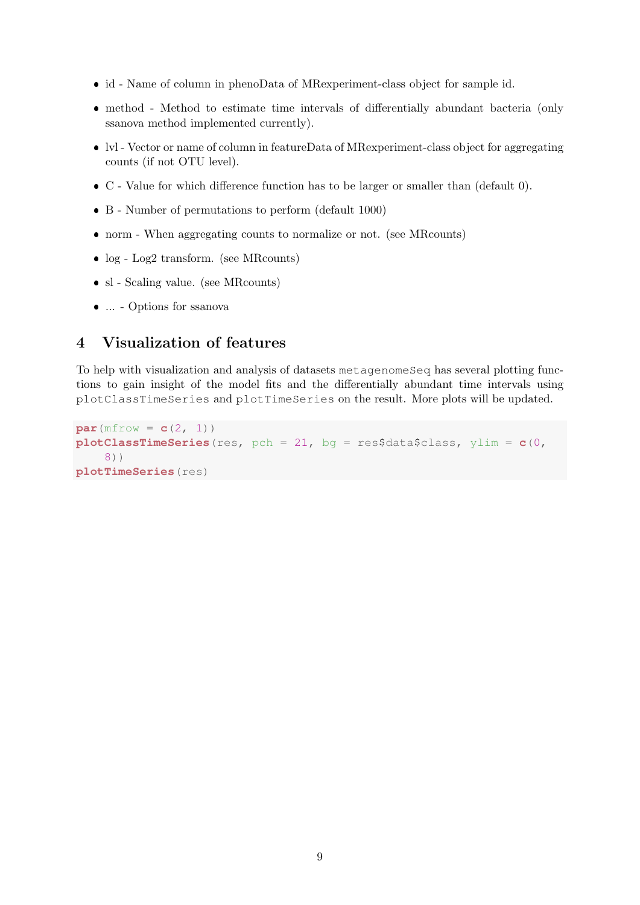- id Name of column in phenoData of MRexperiment-class object for sample id.
- method Method to estimate time intervals of differentially abundant bacteria (only ssanova method implemented currently).
- lvl Vector or name of column in featureData of MRexperiment-class object for aggregating counts (if not OTU level).
- C Value for which difference function has to be larger or smaller than (default 0).
- B Number of permutations to perform (default 1000)
- norm When aggregating counts to normalize or not. (see MRcounts)
- $log Log2$  transform. (see MRcounts)
- sl Scaling value. (see MRcounts)
- ... Options for ssanova

## <span id="page-8-0"></span>4 Visualization of features

To help with visualization and analysis of datasets metagenomeSeq has several plotting functions to gain insight of the model fits and the differentially abundant time intervals using plotClassTimeSeries and plotTimeSeries on the result. More plots will be updated.

```
par(mfrow = c(2, 1))
plotClassTimeSeries(res, pch = 21, bg = res$data$class, ylim = c(0,
    8))
plotTimeSeries(res)
```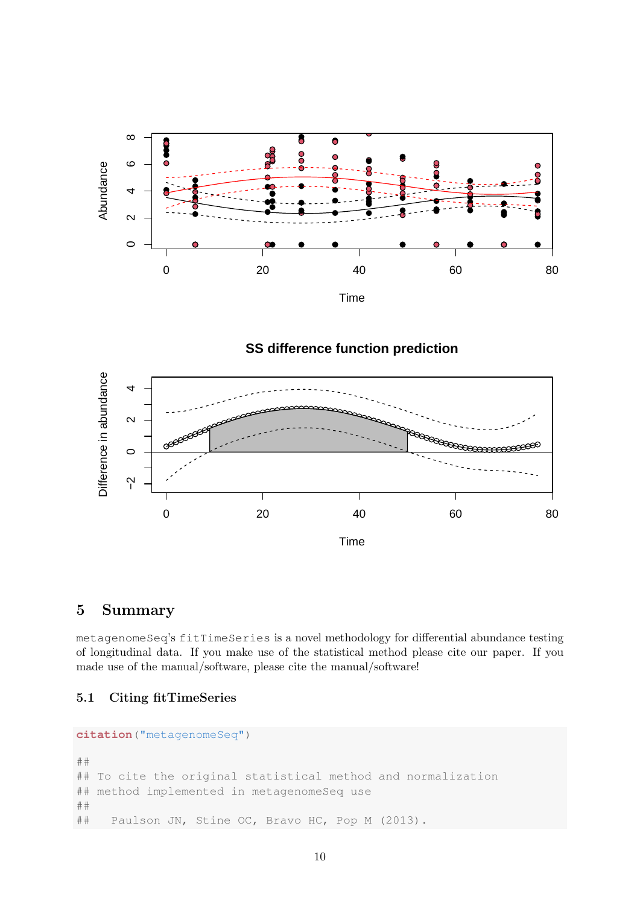

**SS difference function prediction**



## <span id="page-9-0"></span>5 Summary

metagenomeSeq's fitTimeSeries is a novel methodology for differential abundance testing of longitudinal data. If you make use of the statistical method please cite our paper. If you made use of the manual/software, please cite the manual/software!

#### <span id="page-9-1"></span>5.1 Citing fitTimeSeries

```
citation("metagenomeSeq")
##
## To cite the original statistical method and normalization
## method implemented in metagenomeSeq use
##
## Paulson JN, Stine OC, Bravo HC, Pop M (2013).
```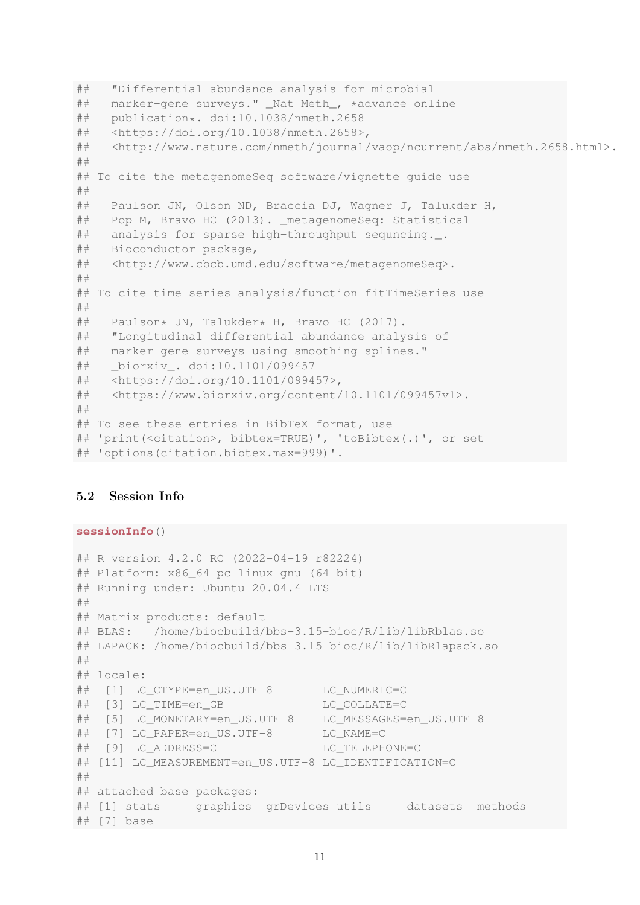```
## "Differential abundance analysis for microbial
## marker-gene surveys." _Nat Meth_, *advance online
## publication*. doi:10.1038/nmeth.2658
## <https://doi.org/10.1038/nmeth.2658>,
## <http://www.nature.com/nmeth/journal/vaop/ncurrent/abs/nmeth.2658.html>.
##
## To cite the metagenomeSeq software/vignette guide use
##
## Paulson JN, Olson ND, Braccia DJ, Wagner J, Talukder H,
## Pop M, Bravo HC (2013). metagenomeSeg: Statistical
## analysis for sparse high-throughput sequncing._.
## Bioconductor package,
## <http://www.cbcb.umd.edu/software/metagenomeSeq>.
##
## To cite time series analysis/function fitTimeSeries use
##
## Paulson* JN, Talukder* H, Bravo HC (2017).
## "Longitudinal differential abundance analysis of
## marker-gene surveys using smoothing splines."
## _biorxiv_. doi:10.1101/099457
## <https://doi.org/10.1101/099457>,
## <https://www.biorxiv.org/content/10.1101/099457v1>.
##
## To see these entries in BibTeX format, use
## 'print(<citation>, bibtex=TRUE)', 'toBibtex(.)', or set
## 'options(citation.bibtex.max=999)'.
```
#### <span id="page-10-0"></span>5.2 Session Info

**sessionInfo**()

```
## R version 4.2.0 RC (2022-04-19 r82224)
## Platform: x86_64-pc-linux-gnu (64-bit)
## Running under: Ubuntu 20.04.4 LTS
##
## Matrix products: default
## BLAS: /home/biocbuild/bbs-3.15-bioc/R/lib/libRblas.so
## LAPACK: /home/biocbuild/bbs-3.15-bioc/R/lib/libRlapack.so
##
## locale:
## [1] LC CTYPE=en US.UTF-8 LC NUMERIC=C
## [3] LC_TIME=en_GB LC_COLLATE=C
## [5] LC_MONETARY=en_US.UTF-8 LC_MESSAGES=en_US.UTF-8
## [7] LC PAPER=en US.UTF-8 LC NAME=C
## [9] LC_ADDRESS=C LC_TELEPHONE=C
## [11] LC MEASUREMENT=en US.UTF-8 LC IDENTIFICATION=C
##
## attached base packages:
## [1] stats graphics grDevices utils datasets methods
## [7] base
```